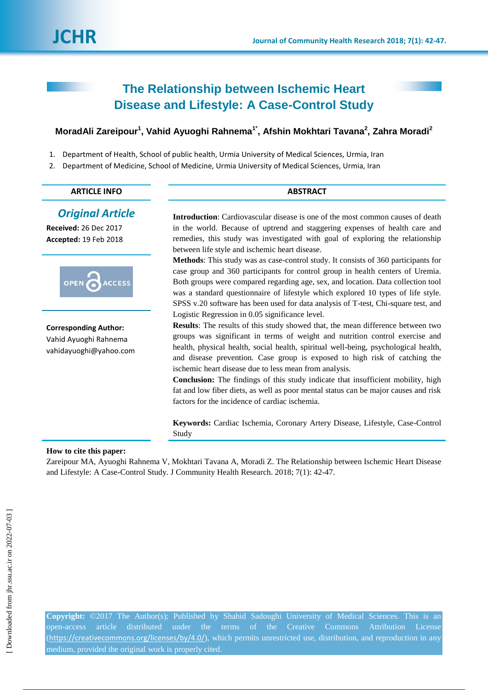# **The Relationship between Ischemic Heart Disease and Lifestyle: A Case-Control Study**

# **MoradAli Zareipour<sup>1</sup> , Vahid Ayuoghi Rahnema1\* , Afshin Mokhtari Tavana<sup>2</sup> , Zahra Moradi<sup>2</sup>**

- 1. Department of Health, School of public health, Urmia University of Medical Sciences, Urmia, Iran
- 2. Department of Medicine, School of Medicine, Urmia University of Medical Sciences, Urmia, Iran

# **ARTICLE INFO ABSTRACT**

# *Original Article*

**Received:** 26 Dec 2017 **Accepted:** 19 Feb 2018



**Corresponding Author:** Vahid Ayuoghi Rahnema vahidayuoghi@yahoo.com **Introduction**: Cardiovascular disease is one of the most common causes of death in the world. Because of uptrend and staggering expenses of health care and remedies, this study was investigated with goal of exploring the relationship between life style and ischemic heart disease.

**Methods**: This study was as case-control study. It consists of 360 participants for case group and 360 participants for control group in health centers of Uremia. Both groups were compared regarding age, sex, and location. Data collection tool was a standard questionnaire of lifestyle which explored 10 types of life style. SPSS v.20 software has been used for data analysis of T-test, Chi-square test, and Logistic Regression in 0.05 significance level.

**Results**: The results of this study showed that, the mean difference between two groups was significant in terms of weight and nutrition control exercise and health, physical health, social health, spiritual well-being, psychological health, and disease prevention. Case group is exposed to high risk of catching the ischemic heart disease due to less mean from analysis.

**Conclusion:** The findings of this study indicate that insufficient mobility, high fat and low fiber diets, as well as poor mental status can be major causes and risk factors for the incidence of cardiac ischemia.

**Keywords:** Cardiac Ischemia, Coronary Artery Disease, Lifestyle, Case-Control Study

#### **How to cite this paper:**

Zareipour MA, Ayuoghi Rahnema V, Mokhtari Tavana A, Moradi Z. The Relationship between Ischemic Heart Disease and Lifestyle: A Case-Control Study. J Community Health Research. 2018; 7(1): 42-47.

**Copyright:** ©2017 The Author(s); Published by Shahid Sadoughi University of Medical Sciences. This is an open-access article distributed under the terms of the Creative Commons Attribution License (<https://creativecommons.org/licenses/by/4.0/>), which permits unrestricted use, distribution, and reproduction in any medium, provided the original work is properly cited.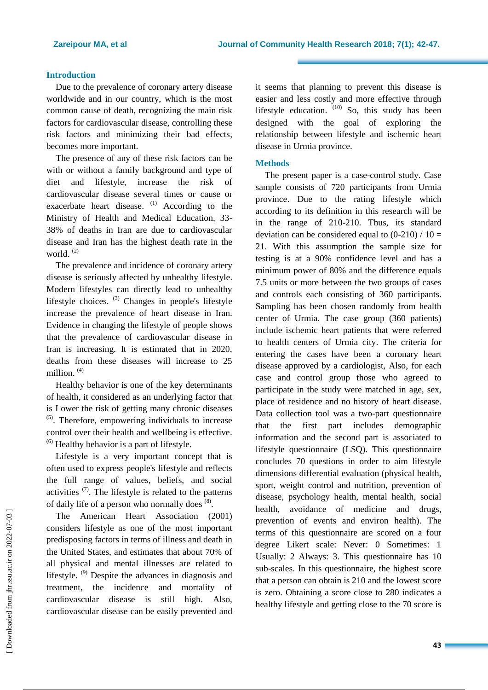#### **Introduction**

Due to the prevalence of coronary artery disease worldwide and in our country, which is the most common cause of death, recognizing the main risk factors for cardiovascular disease, controlling these risk factors and minimizing their bad effects, becomes more important.

The presence of any of these risk factors can be with or without a family background and type of diet and lifestyle, increase the risk of cardiovascular disease several times or cause or exacerbate heart disease. <sup>(1)</sup> According to the Ministry of Health and Medical Education, 33- 38% of deaths in Iran are due to cardiovascular disease and Iran has the highest death rate in the world.<sup>(2)</sup>

The prevalence and incidence of coronary artery disease is seriously affected by unhealthy lifestyle. Modern lifestyles can directly lead to unhealthy lifestyle choices. <sup>(3)</sup> Changes in people's lifestyle increase the prevalence of heart disease in Iran. Evidence in changing the lifestyle of people shows that the prevalence of cardiovascular disease in Iran is increasing. It is estimated that in 2020, deaths from these diseases will increase to 25 million. (4)

Healthy behavior is one of the key determinants of health, it considered as an underlying factor that is Lower the risk of getting many chronic diseases (5) . Therefore, empowering individuals to increase control over their health and wellbeing is effective.  $<sup>(6)</sup>$  Healthy behavior is a part of lifestyle.</sup>

Lifestyle is a very important concept that is often used to express people's lifestyle and reflects the full range of values, beliefs, and social activities  $(7)$ . The lifestyle is related to the patterns of daily life of a person who normally does (8).

The American Heart Association (2001) considers lifestyle as one of the most important predisposing factors in terms of illness and death in the United States, and estimates that about 70% of all physical and mental illnesses are related to lifestyle. (9) Despite the advances in diagnosis and treatment, the incidence and mortality of cardiovascular disease is still high. Also, cardiovascular disease can be easily prevented and it seems that planning to prevent this disease is easier and less costly and more effective through lifestyle education.  $(10)$  So, this study has been designed with the goal of exploring the relationship between lifestyle and ischemic heart disease in Urmia province.

## **Methods**

The present paper is a case-control study. Case sample consists of 720 participants from Urmia province. Due to the rating lifestyle which according to its definition in this research will be in the range of 210-210. Thus, its standard deviation can be considered equal to  $(0-210) / 10 =$ 21. With this assumption the sample size for testing is at a 90% confidence level and has a minimum power of 80% and the difference equals 7.5 units or more between the two groups of cases and controls each consisting of 360 participants. Sampling has been chosen randomly from health center of Urmia. The case group (360 patients) include ischemic heart patients that were referred to health centers of Urmia city. The criteria for entering the cases have been a coronary heart disease approved by a cardiologist, Also, for each case and control group those who agreed to participate in the study were matched in age, sex, place of residence and no history of heart disease. Data collection tool was a two-part questionnaire that the first part includes demographic information and the second part is associated to lifestyle questionnaire (LSQ). This questionnaire concludes 70 questions in order to aim lifestyle dimensions differential evaluation (physical health, sport, weight control and nutrition, prevention of disease, psychology health, mental health, social health, avoidance of medicine and drugs, prevention of events and environ health). The terms of this questionnaire are scored on a four degree Likert scale: Never: 0 Sometimes: 1 Usually: 2 Always: 3. This questionnaire has 10 sub-scales. In this questionnaire, the highest score that a person can obtain is 210 and the lowest score is zero. Obtaining a score close to 280 indicates a healthy lifestyle and getting close to the 70 score is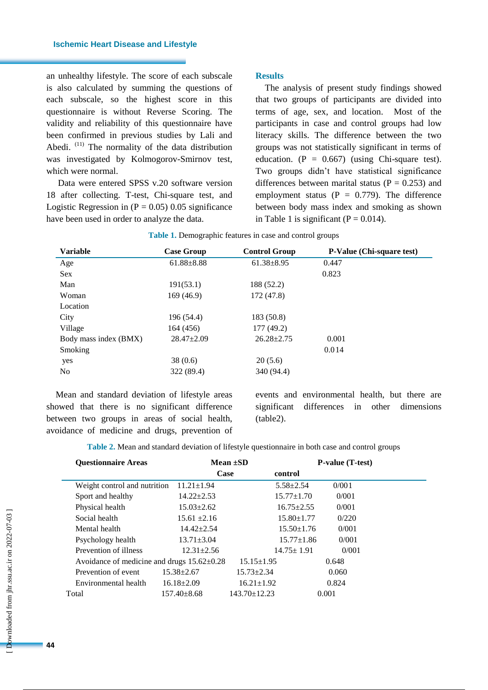an unhealthy lifestyle. The score of each subscale is also calculated by summing the questions of each subscale, so the highest score in this questionnaire is without Reverse Scoring. The validity and reliability of this questionnaire have been confirmed in previous studies by Lali and Abedi.  $(11)$  The normality of the data distribution was investigated by Kolmogorov-Smirnov test, which were normal.

Data were entered SPSS v.20 software version 18 after collecting. T-test, Chi-square test, and Logistic Regression in  $(P = 0.05)$  0.05 significance have been used in order to analyze the data.

## **Results**

The analysis of present study findings showed that two groups of participants are divided into terms of age, sex, and location. Most of the participants in case and control groups had low literacy skills. The difference between the two groups was not statistically significant in terms of education. ( $P = 0.667$ ) (using Chi-square test). Two groups didn't have statistical significance differences between marital status ( $P = 0.253$ ) and employment status ( $P = 0.779$ ). The difference between body mass index and smoking as shown in Table 1 is significant ( $P = 0.014$ ).

| <b>Variable</b>       | <b>Case Group</b> | <b>Control Group</b> | <b>P-Value (Chi-square test)</b> |
|-----------------------|-------------------|----------------------|----------------------------------|
| Age                   | $61.88 \pm 8.88$  | $61.38 \pm 8.95$     | 0.447                            |
| Sex                   |                   |                      | 0.823                            |
| Man                   | 191(53.1)         | 188 (52.2)           |                                  |
| Woman                 | 169(46.9)         | 172 (47.8)           |                                  |
| Location              |                   |                      |                                  |
| City                  | 196 (54.4)        | 183 (50.8)           |                                  |
| Village               | 164 (456)         | 177(49.2)            |                                  |
| Body mass index (BMX) | $28.47 \pm 2.09$  | $26.28 \pm 2.75$     | 0.001                            |
| Smoking               |                   |                      | 0.014                            |
| yes                   | 38(0.6)           | 20(5.6)              |                                  |
| N <sub>0</sub>        | 322 (89.4)        | 340 (94.4)           |                                  |

Mean and standard deviation of lifestyle areas showed that there is no significant difference between two groups in areas of social health, avoidance of medicine and drugs, prevention of events and environmental health, but there are significant differences in other dimensions (table2).

**Table 2.** Mean and standard deviation of lifestyle questionnaire in both case and control groups

| <b>Ouestionnaire Areas</b>                       |                   | Mean $\pm SD$      | <b>P</b> -value (T-test) |       |  |
|--------------------------------------------------|-------------------|--------------------|--------------------------|-------|--|
|                                                  | Case              |                    | control                  |       |  |
| Weight control and nutrition                     | $11.21 \pm 1.94$  |                    | $5.58 \pm 2.54$          | 0/001 |  |
| Sport and healthy                                | $14.22 \pm 2.53$  |                    | $15.77 \pm 1.70$         | 0/001 |  |
| Physical health                                  | $15.03 \pm 2.62$  |                    | $16.75 \pm 2.55$         | 0/001 |  |
| Social health                                    | $15.61 \pm 2.16$  |                    | $15.80 \pm 1.77$         | 0/220 |  |
| Mental health                                    | $14.42 \pm 2.54$  |                    | $15.50 \pm 1.76$         | 0/001 |  |
| Psychology health                                | $13.71 \pm 3.04$  |                    | $15.77 \pm 1.86$         | 0/001 |  |
| Prevention of illness                            | $12.31 \pm 2.56$  |                    | $14.75 \pm 1.91$         | 0/001 |  |
| Avoidance of medicine and drugs $15.62 \pm 0.28$ |                   | $15.15 \pm 1.95$   |                          | 0.648 |  |
| Prevention of event                              | $15.38 \pm 2.67$  | $15.73 \pm 2.34$   |                          | 0.060 |  |
| Environmental health                             | $16.18 \pm 2.09$  | $16.21 \pm 1.92$   |                          | 0.824 |  |
| Total                                            | $157.40 \pm 8.68$ | $143.70 \pm 12.23$ |                          | 0.001 |  |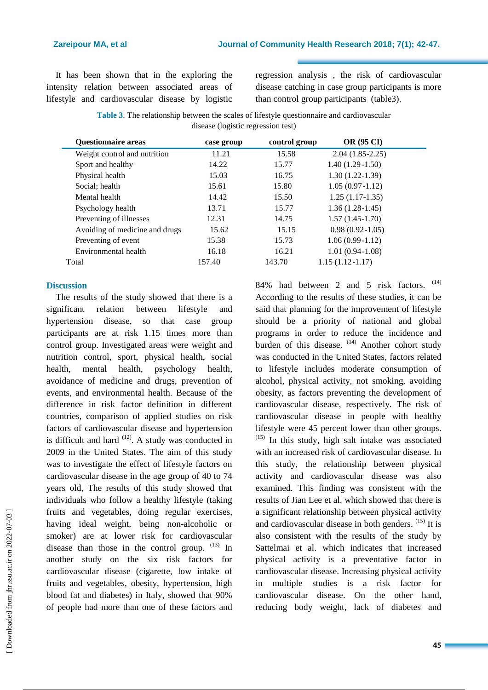It has been shown that in the exploring the intensity relation between associated areas of lifestyle and cardiovascular disease by logistic regression analysis , the risk of cardiovascular disease catching in case group participants is more than control group participants (table3).

**Table 3**. The relationship between the scales of lifestyle questionnaire and cardiovascular disease (logistic regression test)

| <b>Questionnaire areas</b>     | case group | control group | <b>OR (95 CI)</b>   |
|--------------------------------|------------|---------------|---------------------|
| Weight control and nutrition   | 11.21      | 15.58         | $2.04(1.85-2.25)$   |
| Sport and healthy              | 14.22      | 15.77         | $1.40(1.29-1.50)$   |
| Physical health                | 15.03      | 16.75         | $1.30(1.22-1.39)$   |
| Social; health                 | 15.61      | 15.80         | $1.05(0.97-1.12)$   |
| Mental health                  | 14.42      | 15.50         | $1.25(1.17-1.35)$   |
| Psychology health              | 13.71      | 15.77         | $1.36(1.28-1.45)$   |
| Preventing of illnesses        | 12.31      | 14.75         | $1.57(1.45-1.70)$   |
| Avoiding of medicine and drugs | 15.62      | 15.15         | $0.98(0.92 - 1.05)$ |
| Preventing of event            | 15.38      | 15.73         | $1.06(0.99-1.12)$   |
| Environmental health           | 16.18      | 16.21         | $1.01(0.94-1.08)$   |
| Total                          | 157.40     | 143.70        | $1.15(1.12 - 1.17)$ |

# **Discussion**

The results of the study showed that there is a significant relation between lifestyle and hypertension disease, so that case group participants are at risk 1.15 times more than control group. Investigated areas were weight and nutrition control, sport, physical health, social health, mental health, psychology health, avoidance of medicine and drugs, prevention of events, and environmental health. Because of the difference in risk factor definition in different countries, comparison of applied studies on risk factors of cardiovascular disease and hypertension is difficult and hard  $(12)$ . A study was conducted in 2009 in the United States. The aim of this study was to investigate the effect of lifestyle factors on cardiovascular disease in the age group of 40 to 74 years old, The results of this study showed that individuals who follow a healthy lifestyle (taking fruits and vegetables, doing regular exercises, having ideal weight, being non-alcoholic or smoker) are at lower risk for cardiovascular disease than those in the control group.  $(13)$  In another study on the six risk factors for cardiovascular disease (cigarette, low intake of fruits and vegetables, obesity, hypertension, high blood fat and diabetes) in Italy, showed that 90% of people had more than one of these factors and

84% had between 2 and 5 risk factors.  $(14)$ According to the results of these studies, it can be said that planning for the improvement of lifestyle should be a priority of national and global programs in order to reduce the incidence and burden of this disease. <sup>(14)</sup> Another cohort study was conducted in the United States, factors related to lifestyle includes moderate consumption of alcohol, physical activity, not smoking, avoiding obesity, as factors preventing the development of cardiovascular disease, respectively. The risk of cardiovascular disease in people with healthy lifestyle were 45 percent lower than other groups.  $(15)$  In this study, high salt intake was associated with an increased risk of cardiovascular disease. In this study, the relationship between physical activity and cardiovascular disease was also examined. This finding was consistent with the results of Jian Lee et al. which showed that there is a significant relationship between physical activity and cardiovascular disease in both genders.  $(15)$  It is also consistent with the results of the study by Sattelmai et al. which indicates that increased physical activity is a preventative factor in cardiovascular disease. Increasing physical activity in multiple studies is a risk factor for cardiovascular disease. On the other hand, reducing body weight, lack of diabetes and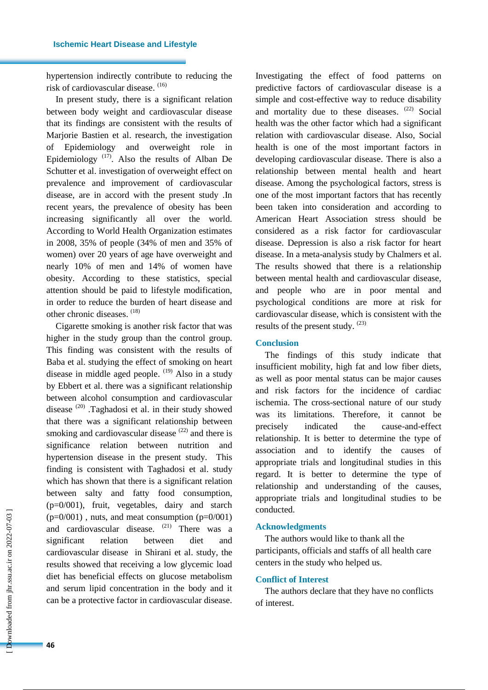hypertension indirectly contribute to reducing the risk of cardiovascular disease. (16)

In present study, there is a significant relation between body weight and cardiovascular disease that its findings are consistent with the results of Marjorie Bastien et al. research, the investigation of Epidemiology and overweight role in Epidemiology<sup> $(17)$ </sup>. Also the results of Alban De Schutter et al. investigation of overweight effect on prevalence and improvement of cardiovascular disease, are in accord with the present study .In recent years, the prevalence of obesity has been increasing significantly all over the world. According to World Health Organization estimates in 2008, 35% of people (34% of men and 35% of women) over 20 years of age have overweight and nearly 10% of men and 14% of women have obesity. According to these statistics, special attention should be paid to lifestyle modification, in order to reduce the burden of heart disease and other chronic diseases. (18)

Cigarette smoking is another risk factor that was higher in the study group than the control group. This finding was consistent with the results of Baba et al. studying the effect of smoking on heart disease in middle aged people. <sup>(19)</sup> Also in a study by Ebbert et al. there was a significant relationship between alcohol consumption and cardiovascular disease (20) .Taghadosi et al. in their study showed that there was a significant relationship between smoking and cardiovascular disease  $(22)$  and there is significance relation between nutrition and hypertension disease in the present study. This finding is consistent with Taghadosi et al. study which has shown that there is a significant relation between salty and fatty food consumption, (p=0/001), fruit, vegetables, dairy and starch  $(p=0/001)$ , nuts, and meat consumption  $(p=0/001)$ and cardiovascular disease. (21) There was a significant relation between diet and cardiovascular disease in Shirani et al. study, the results showed that receiving a low glycemic load diet has beneficial effects on glucose metabolism and serum lipid concentration in the body and it can be a protective factor in cardiovascular disease.

Investigating the effect of food patterns on predictive factors of cardiovascular disease is a simple and cost-effective way to reduce disability and mortality due to these diseases.  $(22)$  Social health was the other factor which had a significant relation with cardiovascular disease. Also, Social health is one of the most important factors in developing cardiovascular disease. There is also a relationship between mental health and heart disease. Among the psychological factors, stress is one of the most important factors that has recently been taken into consideration and according to American Heart Association stress should be considered as a risk factor for cardiovascular disease. Depression is also a risk factor for heart disease. In a meta-analysis study by Chalmers et al. The results showed that there is a relationship between mental health and cardiovascular disease, and people who are in poor mental and psychological conditions are more at risk for cardiovascular disease, which is consistent with the results of the present study.  $(23)$ 

# **Conclusion**

The findings of this study indicate that insufficient mobility, high fat and low fiber diets, as well as poor mental status can be major causes and risk factors for the incidence of cardiac ischemia. The cross-sectional nature of our study was its limitations. Therefore, it cannot be precisely indicated the cause-and-effect relationship. It is better to determine the type of association and to identify the causes of appropriate trials and longitudinal studies in this regard. It is better to determine the type of relationship and understanding of the causes, appropriate trials and longitudinal studies to be conducted.

### **Acknowledgments**

The authors would like to thank all the participants, officials and staffs of all health care centers in the study who helped us.

#### **Conflict of Interest**

The authors declare that they have no conflicts of interest.